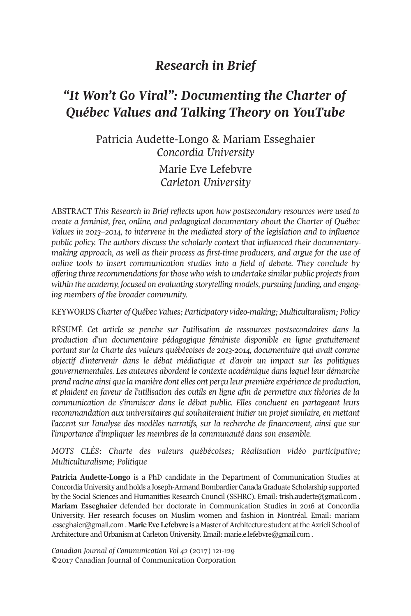# *Research in Brief*

# *"It Won't Go Viral": Documenting the Charter of Québec Values and Talking Theory on YouTube*

# Patricia Audette-Longo & Mariam Esseghaier *Concordia University* Marie Eve Lefebvre *Carleton University*

ABSTRACT *This Research in Brief reflects upon how postsecondary resources were used to create a feminist, free, online, and pedagogical documentary about the Charter of Québec Values in 2013–2014, to intervene in the mediated story of the legislation and to influence public policy. The authors discuss the scholarly context that influenced their documentarymaking approach, as well as their process as first-time producers, and argue for the use of online tools to insert communication studies into a field of debate. They conclude by offering three recommendationsforthose who wish to undertake similar public projectsfrom within the academy, focused on evaluating storytelling models, pursuing funding, and engaging members of the broader community.*

KEYWORDS *Charter of Québec Values; Participatory video-making; Multiculturalism; Policy*

RÉSUMÉ *Cet article se penche sur l'utilisation de ressources postsecondaires dans la production d'un documentaire pédagogique féministe disponible en ligne gratuitement portant sur la Charte des valeurs québécoises de 2013-2014, documentaire qui avait comme objectif d'intervenir dans le débat médiatique et d'avoir un impact sur les politiques gouvernementales. Les auteures abordent le contexte académique dans lequel leur démarche prend racine ainsi que la manière dont elles ont perçu leur première expérience de production, et plaident en faveur de l'utilisation des outils en ligne afin de permettre aux théories de la communication de s'immiscer dans le débat public. Elles concluent en partageant leurs recommandation aux universitaires qui souhaiteraient initier un projet similaire, en mettant l'accent sur l'analyse des modèles narratifs, sur la recherche de financement, ainsi que sur l'importance d'impliquer les membres de la communauté dans son ensemble.*

*MOTS CLÉS: Charte des valeurs québécoises; Réalisation vidéo participative; Multiculturalisme; Politique*

**Patricia Audette-Longo** is a PhD candidate in the Department of Communication Studies at ConcordiaUniversity and holds a Joseph-Armand Bombardier CanadaGraduate Scholarship supported by the Social Sciences and Humanities Research Council (SSHRC). Email: [trish.audette@gmail.com](mailto:trish.audette@gmail.com) . **Mariam Esseghaier** defended her doctorate in Communication Studies in 2016 at Concordia University. Her research focuses on Muslim women and fashion in Montréal. Email: [mariam](mailto:mariam.esseghaier@gmail.com) [.esseghaier@gmail.com](mailto:mariam.esseghaier@gmail.com) . Marie Eve Lefebvre is a Master of Architecture student at the Azrieli School of Architecture and Urbanism at Carleton University. Email: [marie.e.lefebvre@gmail.com](mailto:marie.e.lefebvre@gmail.com) .

*Canadian Journal of [Communication](http://www.cjc-online.ca) Vol 42* (2017) 121-129 ©2017 Canadian Journal of Communication Corporation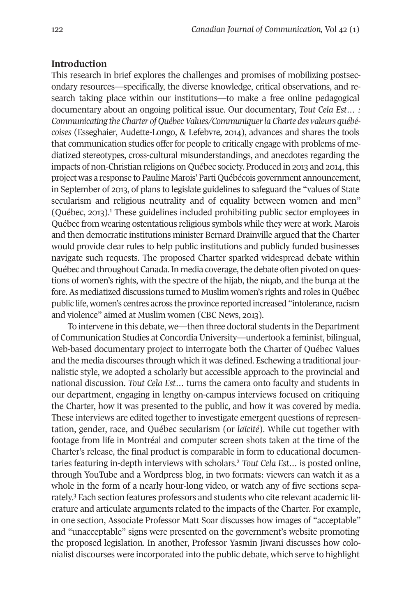# **Introduction**

This research in brief explores the challenges and promises of mobilizing postsecondary resources—specifically, the diverse knowledge, critical observations, and research taking place within our institutions—to make a free online pedagogical documentary about an ongoing political issue. Our documentary, *Tout Cela Est… :* Communicating the Charter of Québec Values/Communiquer la Charte des valeurs québé*coises* (Esseghaier, Audette-Longo, & Lefebvre, 2014), advances and shares the tools that communication studies offer for people to critically engage with problems of mediatized stereotypes, cross-cultural misunderstandings, and anecdotes regarding the impacts of non-Christian religions on Québec society. Produced in 2013 and 2014, this project was a response to Pauline Marois' Parti Québécois government announcement, in September of 2013, of plans to legislate guidelines to safeguard the "values of State secularism and religious neutrality and of equality between women and men" (Québec, 2013). [1](#page-6-0) These guidelines included prohibiting public sector employees in Québec from wearing ostentatious religious symbols while they were at work. Marois and then democratic institutions minister Bernard Drainville argued that the Charter would provide clear rules to help public institutions and publicly funded businesses navigate such requests. The proposed Charter sparked widespread debate within Québec and throughout Canada. In media coverage, the debate often pivoted on questions of women's rights, with the spectre of the hijab, the niqab, and the burqa at the fore.As mediatized discussions turned to Muslim women's rights and roles in Québec public life, women's centres across the province reported increased "intolerance, racism and violence" aimed at Muslim women (CBC News, 2013).

To intervene in this debate, we—then three doctoral students in the Department of Communication Studies at Concordia University—undertook a feminist, bilingual, Web-based documentary project to interrogate both the Charter of Québec Values and the media discourses through which it was defined. Eschewing a traditional journalistic style, we adopted a scholarly but accessible approach to the provincial and national discussion. *Tout Cela Est…* turns the camera onto faculty and students in our department, engaging in lengthy on-campus interviews focused on critiquing the Charter, how it was presented to the public, and how it was covered by media. These interviews are edited together to investigate emergent questions of representation, gender, race, and Québec secularism (or *laïcité*). While cut together with footage from life in Montréal and computer screen shots taken at the time of the Charter's release, the final product is comparable in form to educational documentaries featuring in-depth interviews with scholars. [2](#page-7-1) *Tout Cela Est…* is posted online, through YouTube and a Wordpress blog, in two formats: viewers can watch it as a whole in the form of a nearly hour-long video, or watch any of five sections separately. [3](#page-7-0) Each section features professors and students who cite relevant academic literature and articulate arguments related to the impacts of the Charter. For example, in one section, Associate Professor Matt Soar discusses how images of "acceptable" and "unacceptable" signs were presented on the government's website promoting the proposed legislation. In another, Professor Yasmin Jiwani discusses how colonialist discourses were incorporated into the public debate, which serve to highlight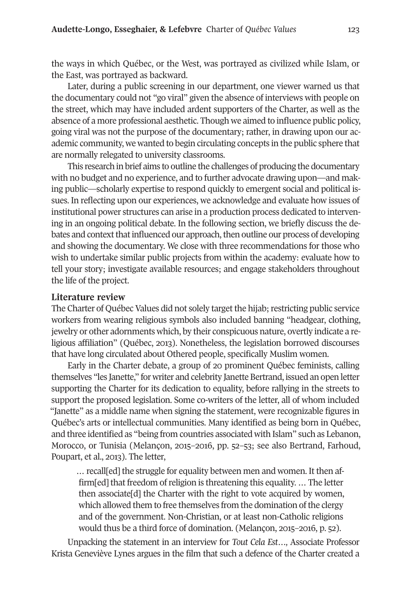the ways in which Québec, or the West, was portrayed as civilized while Islam, or the East, was portrayed as backward.

Later, during a public screening in our department, one viewer warned us that the documentary could not "go viral" given the absence of interviews with people on the street, which may have included ardent supporters of the Charter, as well as the absence of a more professional aesthetic. Though we aimed to influence public policy, going viral was not the purpose of the documentary; rather, in drawing upon our academic community, we wanted to begin circulating concepts in the public sphere that are normally relegated to university classrooms.

This research in brief aims to outline the challenges of producing the documentary with no budget and no experience, and to further advocate drawing upon—and making public—scholarly expertise to respond quickly to emergent social and political issues. In reflecting upon our experiences, we acknowledge and evaluate how issues of institutional power structures can arise in a production process dedicated to intervening in an ongoing political debate. In the following section, we briefly discuss the debates and context that influenced our approach, then outline our process of developing and showing the documentary. We close with three recommendations for those who wish to undertake similar public projects from within the academy: evaluate how to tell your story; investigate available resources; and engage stakeholders throughout the life of the project.

## **Literature review**

The Charter of Québec Values did not solely target the hijab; restricting public service workers from wearing religious symbols also included banning "headgear, clothing, jewelry or other adornments which, by their conspicuous nature, overtly indicate a religious affiliation" (Québec, 2013). Nonetheless, the legislation borrowed discourses that have long circulated about Othered people, specifically Muslim women.

Early in the Charter debate, a group of 20 prominent Québec feminists, calling themselves "les Janette," for writer and celebrity Janette Bertrand, issued an open letter supporting the Charter for its dedication to equality, before rallying in the streets to support the proposed legislation. Some co-writers of the letter, all of whom included "Janette" as a middle name when signing the statement, were recognizable figures in Québec's arts or intellectual communities. Many identified as being born in Québec, and three identified as "being from countries associated with Islam" such as Lebanon, Morocco, or Tunisia (Melançon, 2015–2016, pp. 52–53; see also Bertrand, Farhoud, Poupart, et al., 2013). The letter,

… recall[ed] the struggle for equality between men and women. It then affirm[ed] that freedom of religion is threatening this equality. ... The letter then associate[d] the Charter with the right to vote acquired by women, which allowed them to free themselves from the domination of the clergy and of the government. Non-Christian, or at least non-Catholic religions would thus be a third force of domination. (Melançon, 2015–2016, p. 52).

Unpacking the statement in an interview for *Tout Cela Est…,* Associate Professor Krista Geneviève Lynes argues in the film that such a defence of the Charter created a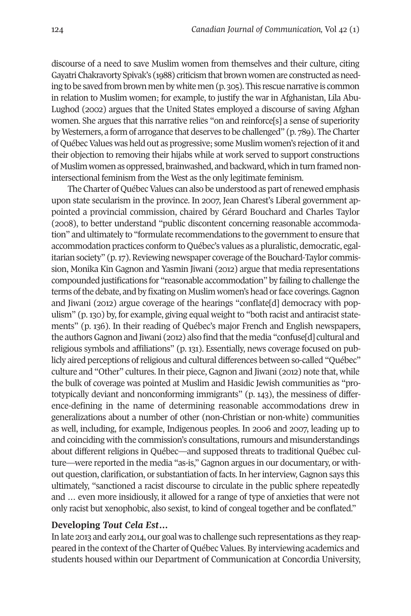discourse of a need to save Muslim women from themselves and their culture, citing Gayatri Chakravorty Spivak's (1988) criticism that brown women are constructed as needing to be saved from brown men by white men (p. 305). This rescue narrative is common in relation to Muslim women; for example, to justify the war in Afghanistan, Lila Abu-Lughod (2002) argues that the United States employed a discourse of saving Afghan women. She argues that this narrative relies "on and reinforce[s] a sense of superiority byWesterners, a form of arrogance that deserves to be challenged" (p. 789). TheCharter of QuébecValues was held out as progressive; some Muslim women's rejection ofit and their objection to removing their hijabs while at work served to support constructions of Muslim women as oppressed, brainwashed, and backward, which in turn framed nonintersectional feminism from the West as the only legitimate feminism.

The Charter of Québec Values can also be understood as part of renewed emphasis upon state secularism in the province. In 2007, Jean Charest's Liberal government appointed a provincial commission, chaired by Gérard Bouchard and Charles Taylor (2008), to better understand "public discontent concerning reasonable accommodation" and ultimately to "formulate recommendations to the governmentto ensure that accommodation practices conform to Québec's values as a pluralistic, democratic, egalitarian society" (p. 17). Reviewing newspaper coverage of the Bouchard-Taylor commission, Monika Kin Gagnon and Yasmin Jiwani (2012) argue that media representations compounded justifications for "reasonable accommodation" by failing to challenge the terms of the debate, and by fixating on Muslim women's head or face coverings. Gagnon and Jiwani (2012) argue coverage of the hearings "conflate[d] democracy with populism" (p.130) by, for example, giving equal weight to "both racist and antiracist statements" (p. 136). In their reading of Québec's major French and English newspapers, the authors Gagnon and Jiwani (2012) also find that the media "confuse[d] cultural and religious symbols and affiliations" (p. 131). Essentially, news coverage focused on publicly aired perceptions ofreligious and cultural differences between so-called "Québec" culture and "Other" cultures. In their piece, Gagnon and Jiwani (2012) note that, while the bulk of coverage was pointed at Muslim and Hasidic Jewish communities as "prototypically deviant and nonconforming immigrants" (p. 143), the messiness of difference-defining in the name of determining reasonable accommodations drew in generalizations about a number of other (non-Christian or non-white) communities as well, including, for example, Indigenous peoples. In 2006 and 2007, leading up to and coinciding with the commission's consultations, rumours and misunderstandings about different religions in Québec—and supposed threats to traditional Québec culture—were reported in the media "as-is," Gagnon argues in our documentary, or without question, clarification, or substantiation of facts. In herinterview, Gagnon says this ultimately, "sanctioned a racist discourse to circulate in the public sphere repeatedly and … even more insidiously, it allowed for a range of type of anxieties that were not only racist but xenophobic, also sexist, to kind of congeal together and be conflated."

#### **Developing** *Tout Cela Est***…**

In late 2013 and early 2014, our goal was to challenge such representations as they reappeared in the context of the Charter of Québec Values. By interviewing academics and students housed within our Department of Communication at Concordia University,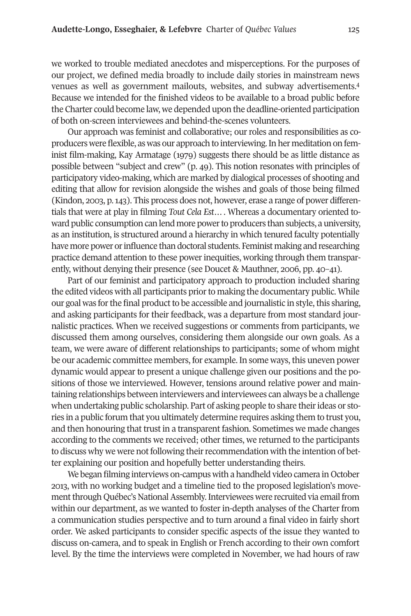we worked to trouble mediated anecdotes and misperceptions. For the purposes of our project, we defined media broadly to include daily stories in mainstream news venues as well as government mailouts, websites, and subway advertisements. [4](#page-7-2) Because we intended for the finished videos to be available to a broad public before the Charter could become law, we depended upon the deadline-oriented participation of both on-screen interviewees and behind-the-scenes volunteers.

Our approach was feminist and collaborative; our roles and responsibilities as coproducers were flexible, as was our approach to interviewing. In her meditation on feminist film-making, Kay Armatage (1979) suggests there should be as little distance as possible between "subject and crew" (p. 49). This notion resonates with principles of participatory video-making, which are marked by dialogical processes of shooting and editing that allow for revision alongside the wishes and goals of those being filmed (Kindon, 2003, p.143). This process does not, however, erase a range of power differentials that were at play in filming *Tout Cela Est…*. Whereas a documentary oriented toward public consumption can lend more power to producers than subjects, a university, as an institution, is structured around a hierarchy in which tenured faculty potentially have more power or influence than doctoral students. Feminist making and researching practice demand attention to these power inequities, working through them transparently, without denying their presence (see Doucet & Mauthner, 2006, pp. 40–41).

Part of our feminist and participatory approach to production included sharing the edited videos with all participants prior to making the documentary public. While our goal was for the final product to be accessible and journalistic in style, this sharing, and asking participants for their feedback, was a departure from most standard journalistic practices. When we received suggestions or comments from participants, we discussed them among ourselves, considering them alongside our own goals. As a team, we were aware of different relationships to participants; some of whom might be our academic committee members, for example. In some ways, this uneven power dynamic would appear to present a unique challenge given our positions and the positions of those we interviewed. However, tensions around relative power and maintaining relationships between interviewers and interviewees can always be a challenge when undertaking public scholarship. Part of asking people to share their ideas or stories in a public forum that you ultimately determine requires asking them to trust you, and then honouring that trust in a transparent fashion. Sometimes we made changes according to the comments we received; other times, we returned to the participants to discuss why we were not following their recommendation with the intention of better explaining our position and hopefully better understanding theirs.

We began filming interviews on-campus with a handheld video camera in October 2013, with no working budget and a timeline tied to the proposed legislation's movement through Québec's National Assembly. Interviewees were recruited via email from within our department, as we wanted to foster in-depth analyses of the Charter from a communication studies perspective and to turn around a final video in fairly short order. We asked participants to consider specific aspects of the issue they wanted to discuss on-camera, and to speak in English or French according to their own comfort level. By the time the interviews were completed in November, we had hours of raw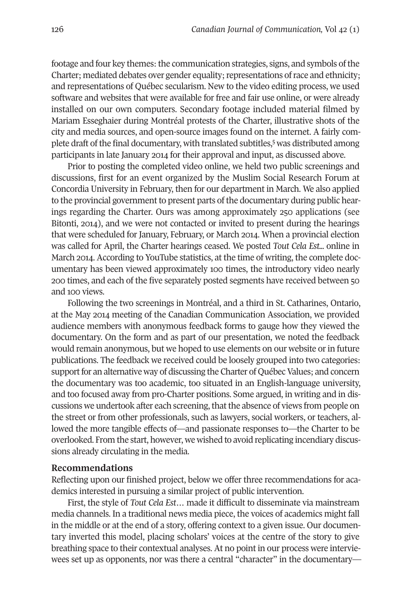footage and four key themes: the communication strategies, signs, and symbols of the Charter; mediated debates over gender equality; representations of race and ethnicity; and representations of Québec secularism. New to the video editing process, we used software and websites that were available for free and fair use online, or were already installed on our own computers. Secondary footage included material filmed by Mariam Esseghaier during Montréal protests of the Charter, illustrative shots of the city and media sources, and open-source images found on the internet. A fairly com-plete draft of the final documentary, with translated subtitles,<sup>[5](#page-7-3)</sup> was distributed among participants in late January 2014 for their approval and input, as discussed above.

Prior to posting the completed video online, we held two public screenings and discussions, first for an event organized by the Muslim Social Research Forum at Concordia University in February, then for our department in March. We also applied to the provincial government to present parts of the documentary during public hearings regarding the Charter. Ours was among approximately 250 applications (see Bitonti, 2014), and we were not contacted or invited to present during the hearings that were scheduled for January, February, or March 2014. When a provincial election was called for April, the Charter hearings ceased. We posted *Tout Cela Est...* online in March 2014. According to YouTube statistics, at the time of writing, the complete documentary has been viewed approximately 100 times, the introductory video nearly 200 times, and each of the five separately posted segments have received between 50 and 100 views.

Following the two screenings in Montréal, and a third in St. Catharines, Ontario, at the May 2014 meeting of the Canadian Communication Association, we provided audience members with anonymous feedback forms to gauge how they viewed the documentary. On the form and as part of our presentation, we noted the feedback would remain anonymous, but we hoped to use elements on our website or in future publications. The feedback we received could be loosely grouped into two categories: support for an alternative way of discussing the Charter of Québec Values; and concern the documentary was too academic, too situated in an English-language university, and too focused away from pro-Charter positions. Some argued, in writing and in discussions we undertook after each screening, that the absence of views from people on the street or from other professionals, such as lawyers, social workers, or teachers, allowed the more tangible effects of—and passionate responses to—the Charter to be overlooked. From the start, however, we wished to avoid replicating incendiary discussions already circulating in the media.

## **Recommendations**

Reflecting upon our finished project, below we offer three recommendations for academics interested in pursuing a similar project of public intervention.

First, the style of *Tout Cela Est…* made it difficult to disseminate via mainstream media channels. In a traditional news media piece, the voices of academics might fall in the middle or at the end of a story, offering context to a given issue. Our documentary inverted this model, placing scholars' voices at the centre of the story to give breathing space to their contextual analyses. At no point in our process were interviewees set up as opponents, nor was there a central "character" in the documentary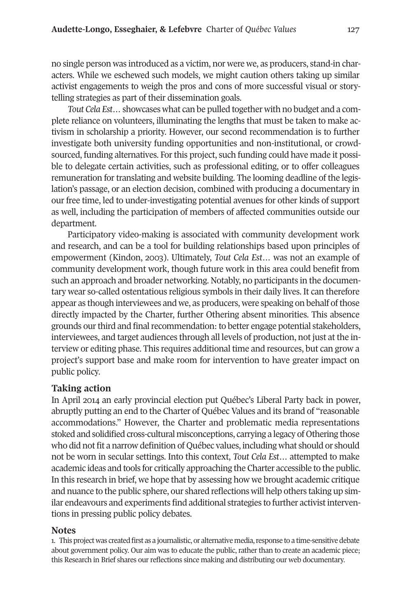no single person was introduced as a victim, nor were we, as producers, stand-in characters. While we eschewed such models, we might caution others taking up similar activist engagements to weigh the pros and cons of more successful visual or storytelling strategies as part of their dissemination goals.

*Tout Cela Est…* showcases what can be pulled together with no budget and a complete reliance on volunteers, illuminating the lengths that must be taken to make activism in scholarship a priority. However, our second recommendation is to further investigate both university funding opportunities and non-institutional, or crowdsourced, funding alternatives. For this project, such funding could have made it possible to delegate certain activities, such as professional editing, or to offer colleagues remuneration for translating and website building. The looming deadline of the legislation's passage, or an election decision, combined with producing a documentary in our free time, led to under-investigating potential avenues for other kinds of support as well, including the participation of members of affected communities outside our department.

Participatory video-making is associated with community development work and research, and can be a tool for building relationships based upon principles of empowerment (Kindon, 2003). Ultimately, *Tout Cela Est…* was not an example of community development work, though future work in this area could benefit from such an approach and broader networking. Notably, no participants in the documentary wear so-called ostentatious religious symbols in their daily lives. It can therefore appear as though interviewees and we, as producers, were speaking on behalf ofthose directly impacted by the Charter, further Othering absent minorities. This absence grounds our third and final recommendation: to better engage potential stakeholders, interviewees, and target audiences through all levels of production, not just at the interview or editing phase. This requires additional time and resources, but can grow a project's support base and make room for intervention to have greater impact on public policy.

#### **Taking action**

In April 2014 an early provincial election put Québec's Liberal Party back in power, abruptly putting an end to the Charter of Québec Values and its brand of "reasonable accommodations." However, the Charter and problematic media representations stoked and solidified cross-cultural misconceptions, carrying a legacy of Othering those who did not fit a narrow definition of Québec values, including what should or should not be worn in secular settings. Into this context, *Tout Cela Est…* attempted to make academic ideas and tools for critically approaching the Charter accessible to the public. In this research in brief, we hope that by assessing how we brought academic critique and nuance to the public sphere, our shared reflections will help others taking up similar endeavours and experiments find additional strategies to further activistinterventions in pressing public policy debates.

#### <span id="page-6-0"></span>**Notes**

1. This project was created first as a journalistic, or alternative media, response to a time-sensitive debate about government policy. Our aim was to educate the public, rather than to create an academic piece; this Research in Brief shares our reflections since making and distributing our web documentary.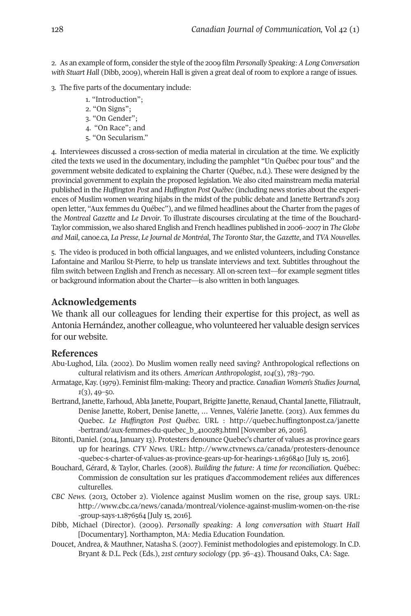<span id="page-7-1"></span>2. As an example of form, considerthe style ofthe 2009 film *Personally Speaking:ALong Conversation with Stuart Hall* (Dibb, 2009), wherein Hall is given a great deal of room to explore a range of issues.

- <span id="page-7-0"></span>3. The five parts of the documentary include:
	- 1. "Introduction";
	- 2. "On Signs";
	- 3. "On Gender";
	- 4. "On Race"; and
	- 5. "On Secularism."

<span id="page-7-2"></span>4. Interviewees discussed a cross-section of media material in circulation at the time. We explicitly cited the texts we used in the documentary, including the pamphlet "Un Québec pour tous" and the government website dedicated to explaining the Charter (Québec, n.d.). These were designed by the provincial government to explain the proposed legislation. We also cited mainstream media material published in the *Huffington Post* and *Huffington Post Québec* (including news stories about the experiences of Muslim women wearing hijabs in the midst of the public debate and Janette Bertrand's 2013 open letter, "Aux femmes du Québec"), and we filmed headlines about the Charter from the pages of the *Montreal Gazette* and *Le Devoir*. To illustrate discourses circulating at the time of the Bouchard-Taylor commission, we also shared English and French headlines published in 2006–2007 in *TheGlobe and Mail*, canoe.ca, *La Presse*, *Le Journal de Montréal*, *The Toronto Star*, the *Gazette*, and *TVA Nouvelles*.

<span id="page-7-3"></span>5. The video is produced in both official languages, and we enlisted volunteers, including Constance Lafontaine and Marilou St-Pierre, to help us translate interviews and text. Subtitles throughout the film switch between English and French as necessary. All on-screen text—for example segment titles or background information about the Charter—is also written in both languages.

# **Acknowledgements**

We thank all our colleagues for lending their expertise for this project, as well as Antonia Hernández, another colleague, who volunteered her valuable design services for our website.

#### **References**

- Abu-Lughod, Lila. (2002). Do Muslim women really need saving? Anthropological reflections on cultural relativism and its others. *American Anthropologist*, *104*(3), 783–790.
- Armatage, Kay. (1979). Feminist film-making: Theory and practice. *Canadian Women's StudiesJournal, 1*(3), 49–50.
- Bertrand, Janette, Farhoud, Abla Janette, Poupart, Brigitte Janette, Renaud, Chantal Janette, Filiatrault, Denise Janette, Robert, Denise Janette, … Vennes, Valérie Janette. (2013). Aux femmes du Quebec. *Le Huffington Post Québec.* URL : [http://quebec.huffingtonpost.ca/janette](http://quebec.huffingtonpost.ca/janette-bertrand/aux-femmes-du-quebec_b_4100283.html) [-bertrand/aux-femmes-du-quebec\\_b\\_4100283.html](http://quebec.huffingtonpost.ca/janette-bertrand/aux-femmes-du-quebec_b_4100283.html) [November 26, 2016].
- Bitonti, Daniel. (2014, January 13). Protesters denounce Quebec's charter of values as province gears up for hearings. *CTV News.* URL: [http://www.ctvnews.ca/canada/protesters-denounce](http://www.ctvnews.ca/canada/protesters-denounce-quebec-s-charter-of-values-as-province-gears-up-for-hearings-1.1636840) [-quebec-s-charter-of-values-as-province-gears-up-for-hearings-1.1636840](http://www.ctvnews.ca/canada/protesters-denounce-quebec-s-charter-of-values-as-province-gears-up-for-hearings-1.1636840) [July 15, 2016].
- Bouchard, Gérard, & Taylor, Charles. (2008). *Building the future: A time for reconciliation*. Québec: Commission de consultation sur les pratiques d'accommodement reliées aux differences culturelles.
- *CBC News.* (2013, October 2). Violence against Muslim women on the rise, group says. URL: [http://www.cbc.ca/news/canada/montreal/violence-against-muslim-women-on-the-rise](http://www.cbc.ca/news/canada/montreal/violence-against-muslim-women-on-the-rise-group-says-1.1876564) [-group-says-1.1876564](http://www.cbc.ca/news/canada/montreal/violence-against-muslim-women-on-the-rise-group-says-1.1876564) [July 15, 2016].
- Dibb, Michael (Director). (2009). *Personally speaking: A long conversation with Stuart Hall* [Documentary]. Northampton, MA: Media Education Foundation.
- Doucet, Andrea, & Mauthner, Natasha S. (2007). Feminist methodologies and epistemology. In C.D. Bryant & D.L. Peck (Eds.), *21st century sociology* (pp. 36–43). Thousand Oaks, CA: Sage.